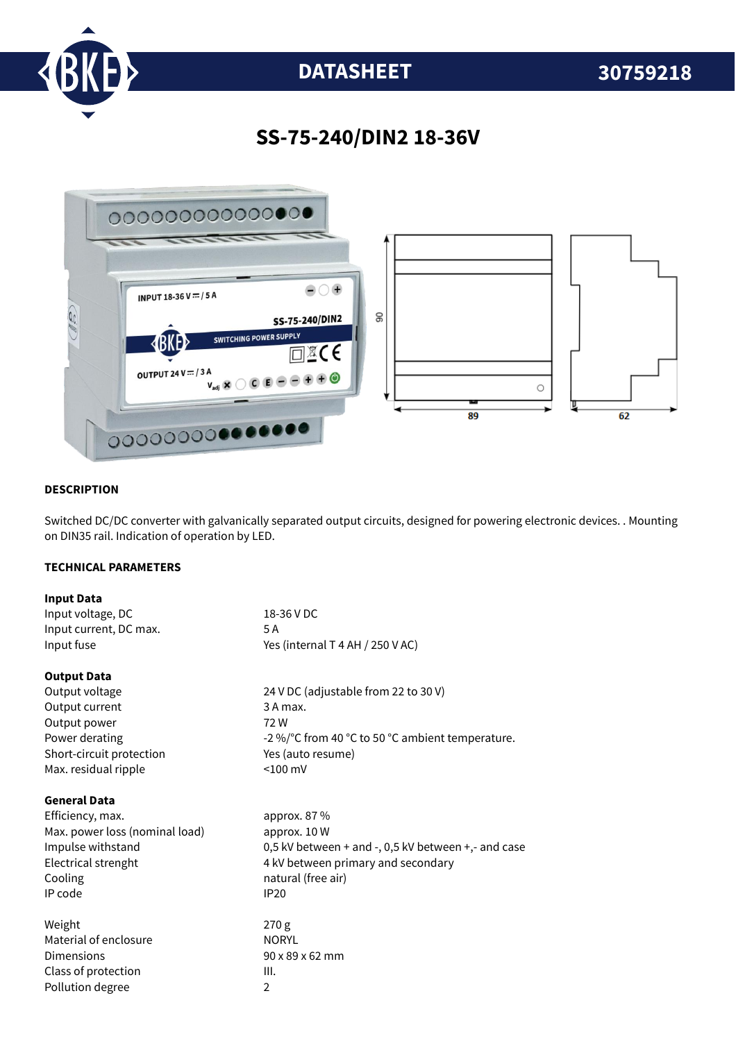

# **DATASHEET 30759218**

### **SS-75-240/DIN2 18-36V**



#### **DESCRIPTION**

Switched DC/DC converter with galvanically separated output circuits, designed for powering electronic devices. . Mounting on DIN35 rail. Indication of operation by LED.

#### **TECHNICAL PARAMETERS**

| <b>Input Data</b>              |                                                     |
|--------------------------------|-----------------------------------------------------|
| Input voltage, DC              | 18-36 V DC                                          |
| Input current, DC max.         | 5 A                                                 |
| Input fuse                     | Yes (internal T 4 AH / 250 V AC)                    |
| <b>Output Data</b>             |                                                     |
| Output voltage                 | 24 V DC (adjustable from 22 to 30 V)                |
| Output current                 | 3 A max.                                            |
| Output power                   | 72W                                                 |
| Power derating                 | -2 %/°C from 40 °C to 50 °C ambient temperature.    |
| Short-circuit protection       | Yes (auto resume)                                   |
| Max. residual ripple           | $< 100$ mV                                          |
| <b>General Data</b>            |                                                     |
| Efficiency, max.               | approx. 87 %                                        |
| Max. power loss (nominal load) | approx. 10 W                                        |
| Impulse withstand              | 0,5 kV between + and -, 0,5 kV between +,- and case |
| Electrical strenght            | 4 kV between primary and secondary                  |
| Cooling                        | natural (free air)                                  |
| IP code                        | <b>IP20</b>                                         |
| Weight                         | 270 g                                               |
| Material of enclosure          | <b>NORYL</b>                                        |
| <b>Dimensions</b>              | 90 x 89 x 62 mm                                     |
| Class of protection            | III.                                                |
| Pollution degree               | $\overline{2}$                                      |
|                                |                                                     |